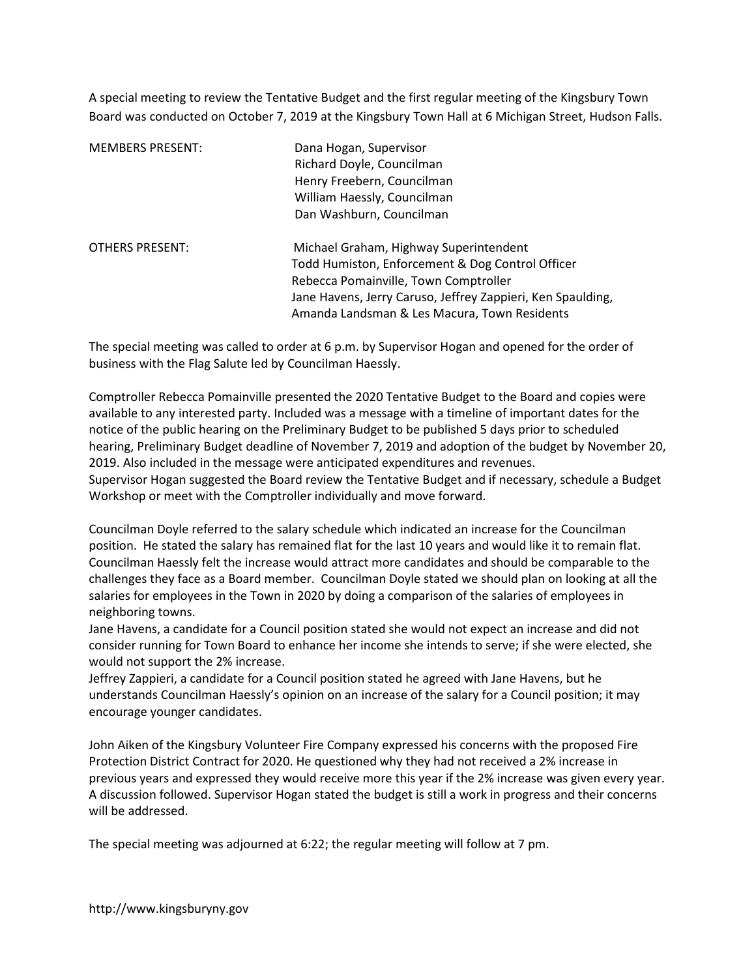A special meeting to review the Tentative Budget and the first regular meeting of the Kingsbury Town Board was conducted on October 7, 2019 at the Kingsbury Town Hall at 6 Michigan Street, Hudson Falls.

| <b>MEMBERS PRESENT:</b> | Dana Hogan, Supervisor<br>Richard Doyle, Councilman<br>Henry Freebern, Councilman<br>William Haessly, Councilman<br>Dan Washburn, Councilman                                                                                                       |
|-------------------------|----------------------------------------------------------------------------------------------------------------------------------------------------------------------------------------------------------------------------------------------------|
| <b>OTHERS PRESENT:</b>  | Michael Graham, Highway Superintendent<br>Todd Humiston, Enforcement & Dog Control Officer<br>Rebecca Pomainville, Town Comptroller<br>Jane Havens, Jerry Caruso, Jeffrey Zappieri, Ken Spaulding,<br>Amanda Landsman & Les Macura, Town Residents |

The special meeting was called to order at 6 p.m. by Supervisor Hogan and opened for the order of business with the Flag Salute led by Councilman Haessly.

Comptroller Rebecca Pomainville presented the 2020 Tentative Budget to the Board and copies were available to any interested party. Included was a message with a timeline of important dates for the notice of the public hearing on the Preliminary Budget to be published 5 days prior to scheduled hearing, Preliminary Budget deadline of November 7, 2019 and adoption of the budget by November 20, 2019. Also included in the message were anticipated expenditures and revenues. Supervisor Hogan suggested the Board review the Tentative Budget and if necessary, schedule a Budget

Workshop or meet with the Comptroller individually and move forward.

Councilman Doyle referred to the salary schedule which indicated an increase for the Councilman position. He stated the salary has remained flat for the last 10 years and would like it to remain flat. Councilman Haessly felt the increase would attract more candidates and should be comparable to the challenges they face as a Board member. Councilman Doyle stated we should plan on looking at all the salaries for employees in the Town in 2020 by doing a comparison of the salaries of employees in neighboring towns.

Jane Havens, a candidate for a Council position stated she would not expect an increase and did not consider running for Town Board to enhance her income she intends to serve; if she were elected, she would not support the 2% increase.

Jeffrey Zappieri, a candidate for a Council position stated he agreed with Jane Havens, but he understands Councilman Haessly's opinion on an increase of the salary for a Council position; it may encourage younger candidates.

John Aiken of the Kingsbury Volunteer Fire Company expressed his concerns with the proposed Fire Protection District Contract for 2020. He questioned why they had not received a 2% increase in previous years and expressed they would receive more this year if the 2% increase was given every year. A discussion followed. Supervisor Hogan stated the budget is still a work in progress and their concerns will be addressed.

The special meeting was adjourned at 6:22; the regular meeting will follow at 7 pm.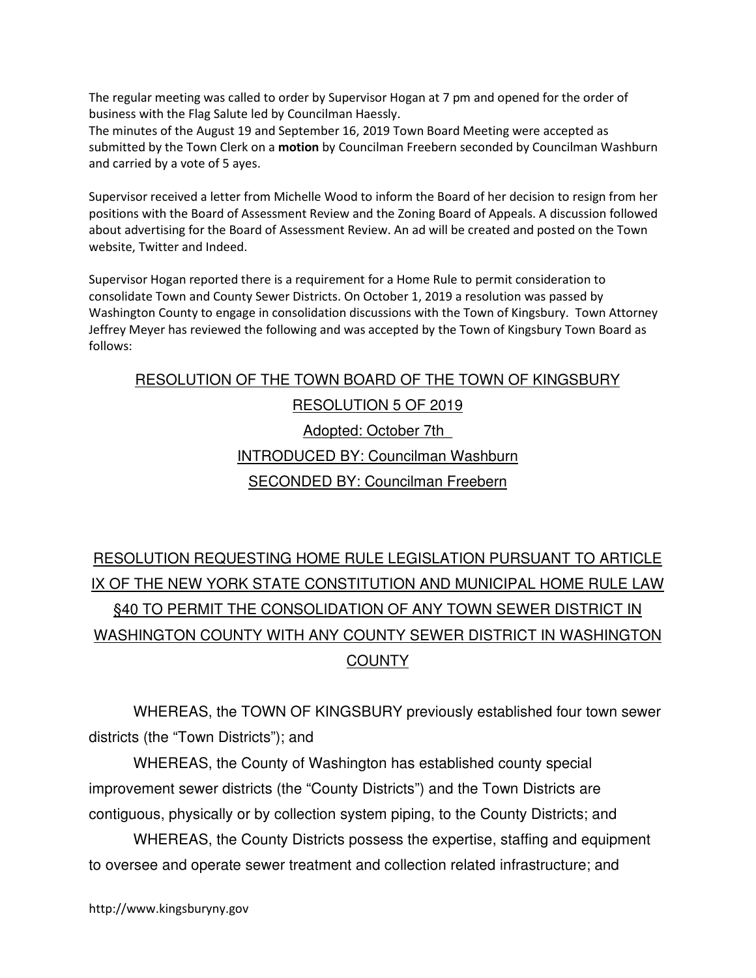The regular meeting was called to order by Supervisor Hogan at 7 pm and opened for the order of business with the Flag Salute led by Councilman Haessly.

The minutes of the August 19 and September 16, 2019 Town Board Meeting were accepted as submitted by the Town Clerk on a motion by Councilman Freebern seconded by Councilman Washburn and carried by a vote of 5 ayes.

Supervisor received a letter from Michelle Wood to inform the Board of her decision to resign from her positions with the Board of Assessment Review and the Zoning Board of Appeals. A discussion followed about advertising for the Board of Assessment Review. An ad will be created and posted on the Town website, Twitter and Indeed.

Supervisor Hogan reported there is a requirement for a Home Rule to permit consideration to consolidate Town and County Sewer Districts. On October 1, 2019 a resolution was passed by Washington County to engage in consolidation discussions with the Town of Kingsbury. Town Attorney Jeffrey Meyer has reviewed the following and was accepted by the Town of Kingsbury Town Board as follows:

# RESOLUTION OF THE TOWN BOARD OF THE TOWN OF KINGSBURY RESOLUTION 5 OF 2019 Adopted: October 7th\_ INTRODUCED BY: Councilman Washburn SECONDED BY: Councilman Freebern

## RESOLUTION REQUESTING HOME RULE LEGISLATION PURSUANT TO ARTICLE IX OF THE NEW YORK STATE CONSTITUTION AND MUNICIPAL HOME RULE LAW §40 TO PERMIT THE CONSOLIDATION OF ANY TOWN SEWER DISTRICT IN WASHINGTON COUNTY WITH ANY COUNTY SEWER DISTRICT IN WASHINGTON **COUNTY**

 WHEREAS, the TOWN OF KINGSBURY previously established four town sewer districts (the "Town Districts"); and

 WHEREAS, the County of Washington has established county special improvement sewer districts (the "County Districts") and the Town Districts are contiguous, physically or by collection system piping, to the County Districts; and

 WHEREAS, the County Districts possess the expertise, staffing and equipment to oversee and operate sewer treatment and collection related infrastructure; and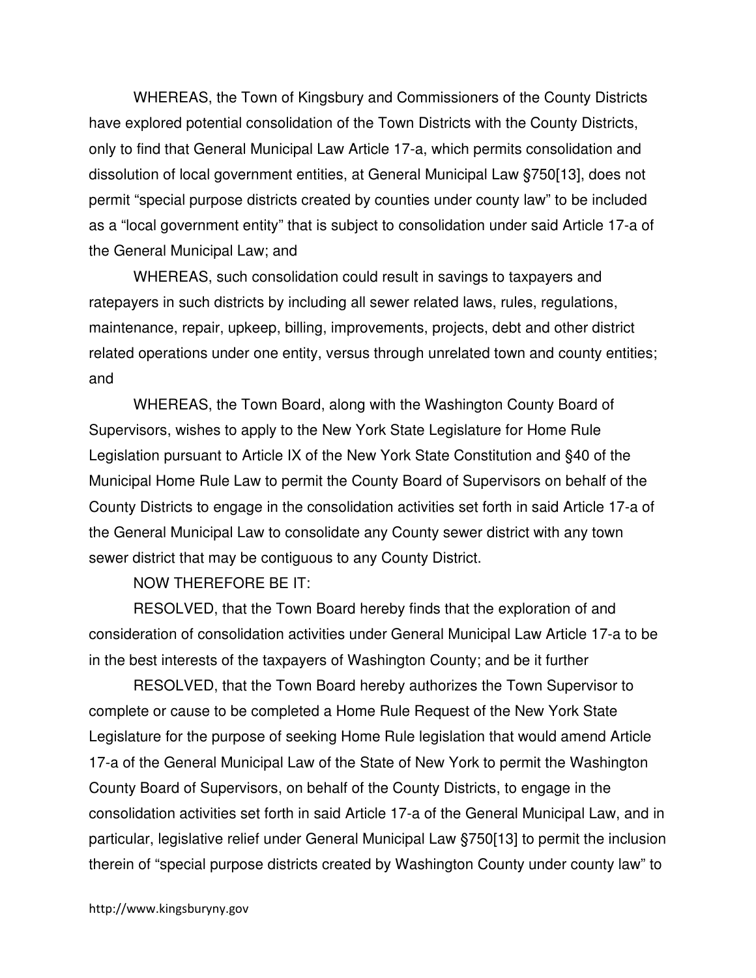WHEREAS, the Town of Kingsbury and Commissioners of the County Districts have explored potential consolidation of the Town Districts with the County Districts, only to find that General Municipal Law Article 17-a, which permits consolidation and dissolution of local government entities, at General Municipal Law §750[13], does not permit "special purpose districts created by counties under county law" to be included as a "local government entity" that is subject to consolidation under said Article 17-a of the General Municipal Law; and

 WHEREAS, such consolidation could result in savings to taxpayers and ratepayers in such districts by including all sewer related laws, rules, regulations, maintenance, repair, upkeep, billing, improvements, projects, debt and other district related operations under one entity, versus through unrelated town and county entities; and

 WHEREAS, the Town Board, along with the Washington County Board of Supervisors, wishes to apply to the New York State Legislature for Home Rule Legislation pursuant to Article IX of the New York State Constitution and §40 of the Municipal Home Rule Law to permit the County Board of Supervisors on behalf of the County Districts to engage in the consolidation activities set forth in said Article 17-a of the General Municipal Law to consolidate any County sewer district with any town sewer district that may be contiguous to any County District.

NOW THEREFORE BE IT:

 RESOLVED, that the Town Board hereby finds that the exploration of and consideration of consolidation activities under General Municipal Law Article 17-a to be in the best interests of the taxpayers of Washington County; and be it further

 RESOLVED, that the Town Board hereby authorizes the Town Supervisor to complete or cause to be completed a Home Rule Request of the New York State Legislature for the purpose of seeking Home Rule legislation that would amend Article 17-a of the General Municipal Law of the State of New York to permit the Washington County Board of Supervisors, on behalf of the County Districts, to engage in the consolidation activities set forth in said Article 17-a of the General Municipal Law, and in particular, legislative relief under General Municipal Law §750[13] to permit the inclusion therein of "special purpose districts created by Washington County under county law" to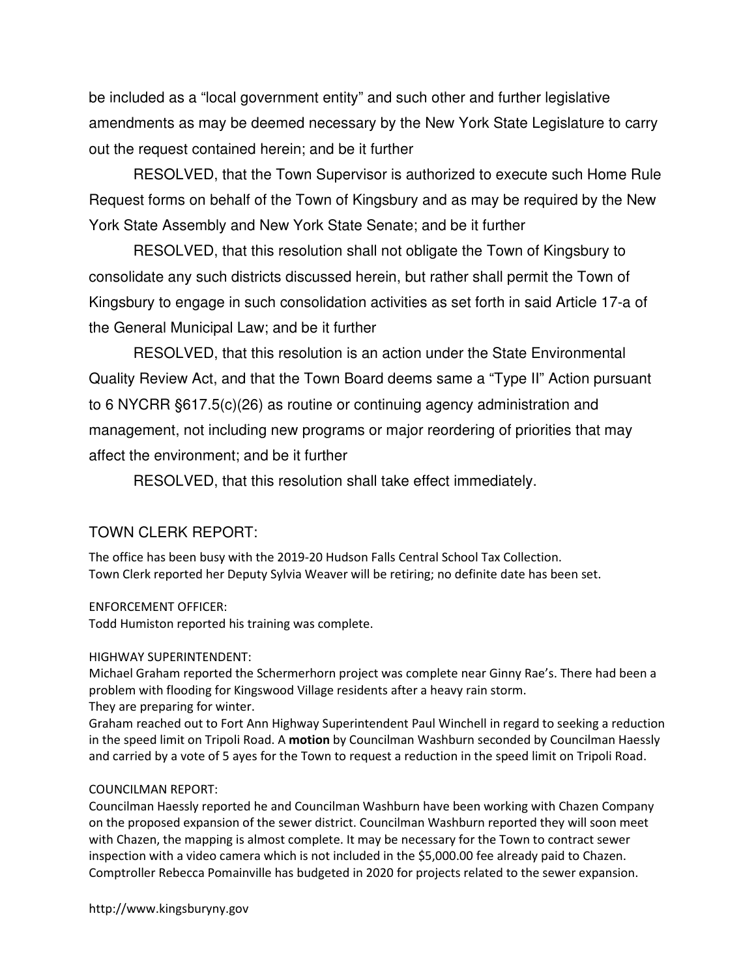be included as a "local government entity" and such other and further legislative amendments as may be deemed necessary by the New York State Legislature to carry out the request contained herein; and be it further

 RESOLVED, that the Town Supervisor is authorized to execute such Home Rule Request forms on behalf of the Town of Kingsbury and as may be required by the New York State Assembly and New York State Senate; and be it further

 RESOLVED, that this resolution shall not obligate the Town of Kingsbury to consolidate any such districts discussed herein, but rather shall permit the Town of Kingsbury to engage in such consolidation activities as set forth in said Article 17-a of the General Municipal Law; and be it further

 RESOLVED, that this resolution is an action under the State Environmental Quality Review Act, and that the Town Board deems same a "Type II" Action pursuant to 6 NYCRR §617.5(c)(26) as routine or continuing agency administration and management, not including new programs or major reordering of priorities that may affect the environment; and be it further

RESOLVED, that this resolution shall take effect immediately.

### TOWN CLERK REPORT:

The office has been busy with the 2019-20 Hudson Falls Central School Tax Collection. Town Clerk reported her Deputy Sylvia Weaver will be retiring; no definite date has been set.

#### ENFORCEMENT OFFICER:

Todd Humiston reported his training was complete.

#### HIGHWAY SUPERINTENDENT:

Michael Graham reported the Schermerhorn project was complete near Ginny Rae's. There had been a problem with flooding for Kingswood Village residents after a heavy rain storm.

They are preparing for winter.

Graham reached out to Fort Ann Highway Superintendent Paul Winchell in regard to seeking a reduction in the speed limit on Tripoli Road. A motion by Councilman Washburn seconded by Councilman Haessly and carried by a vote of 5 ayes for the Town to request a reduction in the speed limit on Tripoli Road.

#### COUNCILMAN REPORT:

Councilman Haessly reported he and Councilman Washburn have been working with Chazen Company on the proposed expansion of the sewer district. Councilman Washburn reported they will soon meet with Chazen, the mapping is almost complete. It may be necessary for the Town to contract sewer inspection with a video camera which is not included in the \$5,000.00 fee already paid to Chazen. Comptroller Rebecca Pomainville has budgeted in 2020 for projects related to the sewer expansion.

http://www.kingsburyny.gov